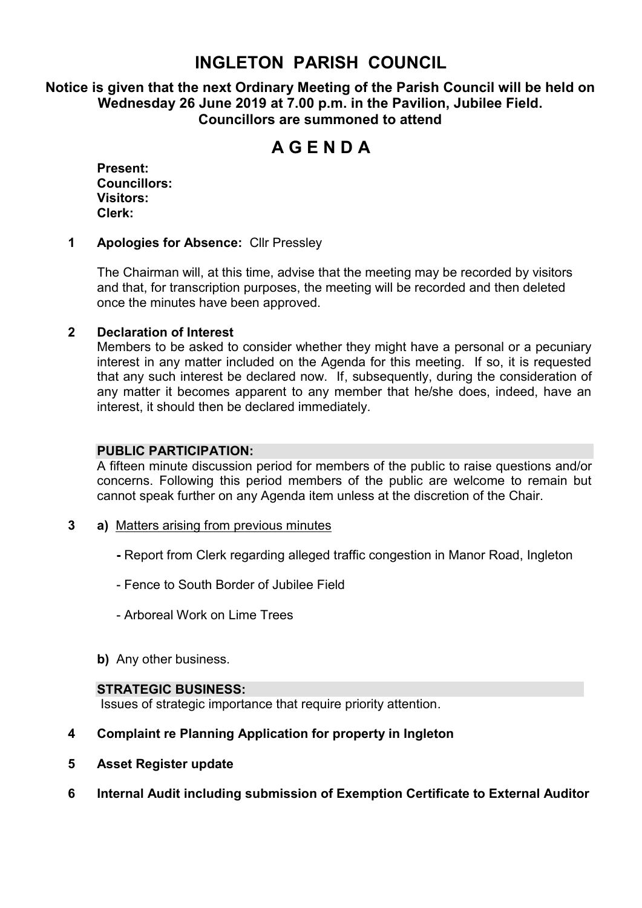# **INGLETON PARISH COUNCIL**

**Notice is given that the next Ordinary Meeting of the Parish Council will be held on Wednesday 26 June 2019 at 7.00 p.m. in the Pavilion, Jubilee Field. Councillors are summoned to attend**

# **A G E N D A**

**Present: Councillors: Visitors: Clerk:**

#### **1 Apologies for Absence:** Cllr Pressley

The Chairman will, at this time, advise that the meeting may be recorded by visitors and that, for transcription purposes, the meeting will be recorded and then deleted once the minutes have been approved.

#### **2 Declaration of Interest**

Members to be asked to consider whether they might have a personal or a pecuniary interest in any matter included on the Agenda for this meeting. If so, it is requested that any such interest be declared now. If, subsequently, during the consideration of any matter it becomes apparent to any member that he/she does, indeed, have an interest, it should then be declared immediately.

#### **PUBLIC PARTICIPATION:**

A fifteen minute discussion period for members of the public to raise questions and/or concerns. Following this period members of the public are welcome to remain but cannot speak further on any Agenda item unless at the discretion of the Chair.

- **3 a)** Matters arising from previous minutes
	- **-** Report from Clerk regarding alleged traffic congestion in Manor Road, Ingleton
	- Fence to South Border of Jubilee Field
	- Arboreal Work on Lime Trees
	- **b)** Any other business.

#### **STRATEGIC BUSINESS:**

Issues of strategic importance that require priority attention.

#### **4 Complaint re Planning Application for property in Ingleton**

- **5 Asset Register update**
- **6 Internal Audit including submission of Exemption Certificate to External Auditor**